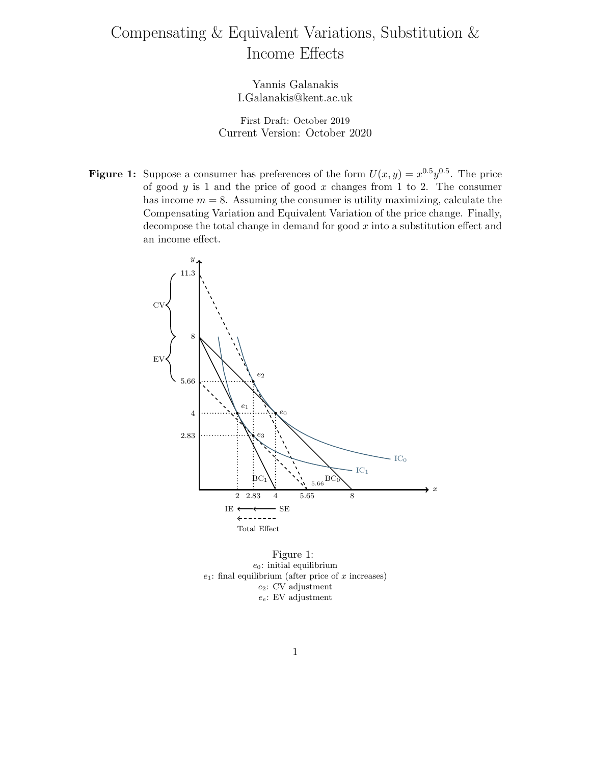## Compensating & Equivalent Variations, Substitution & Income Effects

Yannis Galanakis I.Galanakis@kent.ac.uk

First Draft: October 2019 Current Version: October 2020

**Figure 1:** Suppose a consumer has preferences of the form  $U(x, y) = x^{0.5}y^{0.5}$ . The price of good  $y$  is 1 and the price of good  $x$  changes from 1 to 2. The consumer has income  $m = 8$ . Assuming the consumer is utility maximizing, calculate the Compensating Variation and Equivalent Variation of the price change. Finally, decompose the total change in demand for good  $x$  into a substitution effect and an income effect.



Figure 1:  $e_0$ : initial equilibrium  $e_1$ : final equilibrium (after price of  $x$  increases) e2: CV adjustment  $e_e$ : EV adjustment